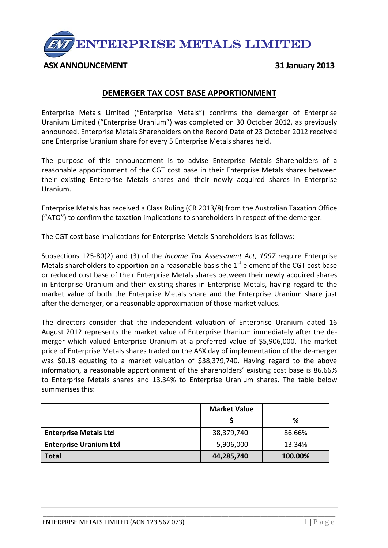

**ASX ANNOUNCEMENT 31 January 2013**

## **DEMERGER TAX COST BASE APPORTIONMENT**

Enterprise Metals Limited ("Enterprise Metals") confirms the demerger of Enterprise Uranium Limited ("Enterprise Uranium") was completed on 30 October 2012, as previously announced. Enterprise Metals Shareholders on the Record Date of 23 October 2012 received one Enterprise Uranium share for every 5 Enterprise Metals shares held.

The purpose of this announcement is to advise Enterprise Metals Shareholders of a reasonable apportionment of the CGT cost base in their Enterprise Metals shares between their existing Enterprise Metals shares and their newly acquired shares in Enterprise Uranium.

Enterprise Metals has received a Class Ruling (CR 2013/8) from the Australian Taxation Office ("ATO") to confirm the taxation implications to shareholders in respect of the demerger.

The CGT cost base implications for Enterprise Metals Shareholders is as follows:

Subsections 125‐80(2) and (3) of the *Income Tax Assessment Act, 1997* require Enterprise Metals shareholders to apportion on a reasonable basis the  $1<sup>st</sup>$  element of the CGT cost base or reduced cost base of their Enterprise Metals shares between their newly acquired shares in Enterprise Uranium and their existing shares in Enterprise Metals, having regard to the market value of both the Enterprise Metals share and the Enterprise Uranium share just after the demerger, or a reasonable approximation of those market values.

The directors consider that the independent valuation of Enterprise Uranium dated 16 August 2012 represents the market value of Enterprise Uranium immediately after the de‐ merger which valued Enterprise Uranium at a preferred value of \$5,906,000. The market price of Enterprise Metals shares traded on the ASX day of implementation of the de‐merger was \$0.18 equating to a market valuation of \$38,379,740. Having regard to the above information, a reasonable apportionment of the shareholders' existing cost base is 86.66% to Enterprise Metals shares and 13.34% to Enterprise Uranium shares. The table below summarises this:

|                               | <b>Market Value</b> |         |
|-------------------------------|---------------------|---------|
|                               |                     | %       |
| <b>Enterprise Metals Ltd</b>  | 38,379,740          | 86.66%  |
| <b>Enterprise Uranium Ltd</b> | 5,906,000           | 13.34%  |
| <b>Total</b>                  | 44,285,740          | 100.00% |

\_\_\_\_\_\_\_\_\_\_\_\_\_\_\_\_\_\_\_\_\_\_\_\_\_\_\_\_\_\_\_\_\_\_\_\_\_\_\_\_\_\_\_\_\_\_\_\_\_\_\_\_\_\_\_\_\_\_\_\_\_\_\_\_\_\_\_\_\_\_\_\_\_\_\_\_\_\_\_\_\_\_